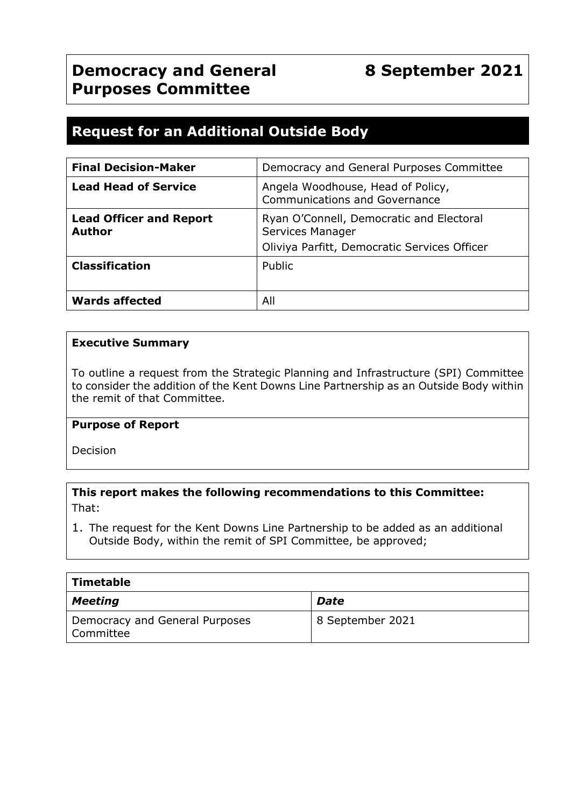## **Request for an Additional Outside Body**

| <b>Final Decision-Maker</b>                     | Democracy and General Purposes Committee                                                                     |
|-------------------------------------------------|--------------------------------------------------------------------------------------------------------------|
| <b>Lead Head of Service</b>                     | Angela Woodhouse, Head of Policy,<br><b>Communications and Governance</b>                                    |
| <b>Lead Officer and Report</b><br><b>Author</b> | Ryan O'Connell, Democratic and Electoral<br>Services Manager<br>Oliviya Parfitt, Democratic Services Officer |
| <b>Classification</b>                           | <b>Public</b>                                                                                                |
| <b>Wards affected</b>                           | All                                                                                                          |

#### **Executive Summary**

To outline a request from the Strategic Planning and Infrastructure (SPI) Committee to consider the addition of the Kent Downs Line Partnership as an Outside Body within the remit of that Committee.

#### **Purpose of Report**

Decision

#### **This report makes the following recommendations to this Committee:** That:

1. The request for the Kent Downs Line Partnership to be added as an additional Outside Body, within the remit of SPI Committee, be approved;

| Timetable                                   |                  |
|---------------------------------------------|------------------|
| <b>Meeting</b>                              | Date             |
| Democracy and General Purposes<br>Committee | 8 September 2021 |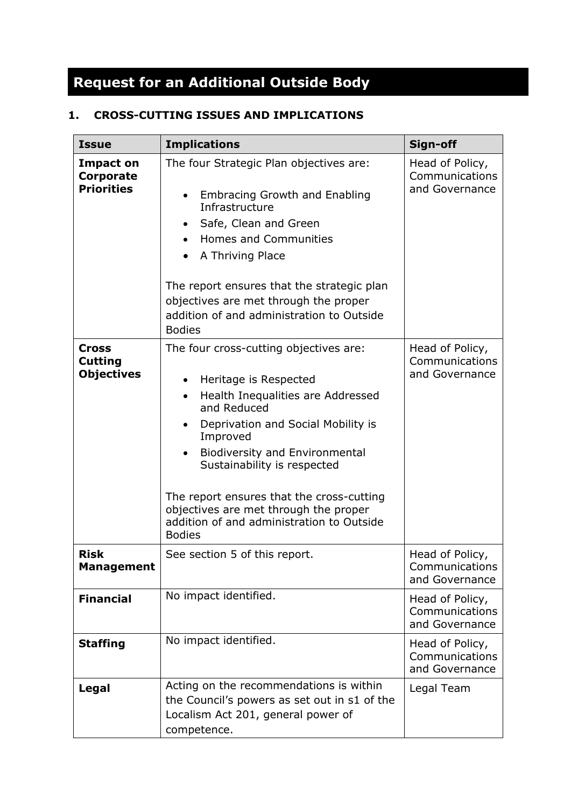# **Request for an Additional Outside Body**

## **1. CROSS-CUTTING ISSUES AND IMPLICATIONS**

| <b>Issue</b>                                        | <b>Implications</b>                                                                                                                                                                                                                                                                                                                                                                                                                                   | Sign-off                                            |
|-----------------------------------------------------|-------------------------------------------------------------------------------------------------------------------------------------------------------------------------------------------------------------------------------------------------------------------------------------------------------------------------------------------------------------------------------------------------------------------------------------------------------|-----------------------------------------------------|
| <b>Impact on</b><br>Corporate<br><b>Priorities</b>  | The four Strategic Plan objectives are:<br><b>Embracing Growth and Enabling</b><br>Infrastructure<br>Safe, Clean and Green<br>$\bullet$<br>Homes and Communities<br>A Thriving Place<br>The report ensures that the strategic plan<br>objectives are met through the proper<br>addition of and administration to Outside<br><b>Bodies</b>                                                                                                             | Head of Policy,<br>Communications<br>and Governance |
| <b>Cross</b><br><b>Cutting</b><br><b>Objectives</b> | The four cross-cutting objectives are:<br>Heritage is Respected<br>$\bullet$<br>Health Inequalities are Addressed<br>$\bullet$<br>and Reduced<br>Deprivation and Social Mobility is<br>$\bullet$<br>Improved<br><b>Biodiversity and Environmental</b><br>$\bullet$<br>Sustainability is respected<br>The report ensures that the cross-cutting<br>objectives are met through the proper<br>addition of and administration to Outside<br><b>Bodies</b> | Head of Policy,<br>Communications<br>and Governance |
| <b>Risk</b><br><b>Management</b>                    | See section 5 of this report.                                                                                                                                                                                                                                                                                                                                                                                                                         | Head of Policy,<br>Communications<br>and Governance |
| <b>Financial</b>                                    | No impact identified.                                                                                                                                                                                                                                                                                                                                                                                                                                 | Head of Policy,<br>Communications<br>and Governance |
| <b>Staffing</b>                                     | No impact identified.                                                                                                                                                                                                                                                                                                                                                                                                                                 | Head of Policy,<br>Communications<br>and Governance |
| Legal                                               | Acting on the recommendations is within<br>the Council's powers as set out in s1 of the<br>Localism Act 201, general power of<br>competence.                                                                                                                                                                                                                                                                                                          | Legal Team                                          |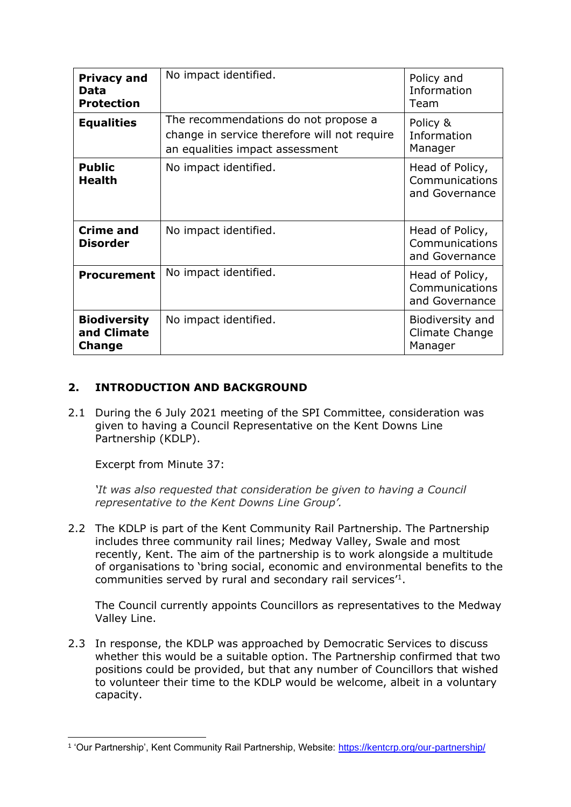| <b>Privacy and</b><br>Data<br><b>Protection</b>     | No impact identified.                                                                                                   | Policy and<br>Information<br>Team                   |
|-----------------------------------------------------|-------------------------------------------------------------------------------------------------------------------------|-----------------------------------------------------|
| <b>Equalities</b>                                   | The recommendations do not propose a<br>change in service therefore will not require<br>an equalities impact assessment | Policy &<br>Information<br>Manager                  |
| <b>Public</b><br><b>Health</b>                      | No impact identified.                                                                                                   | Head of Policy,<br>Communications<br>and Governance |
| <b>Crime and</b><br><b>Disorder</b>                 | No impact identified.                                                                                                   | Head of Policy,<br>Communications<br>and Governance |
| <b>Procurement</b>                                  | No impact identified.                                                                                                   | Head of Policy,<br>Communications<br>and Governance |
| <b>Biodiversity</b><br>and Climate<br><b>Change</b> | No impact identified.                                                                                                   | Biodiversity and<br>Climate Change<br>Manager       |

#### **2. INTRODUCTION AND BACKGROUND**

2.1 During the 6 July 2021 meeting of the SPI Committee, consideration was given to having a Council Representative on the Kent Downs Line Partnership (KDLP).

Excerpt from Minute 37:

*'It was also requested that consideration be given to having a Council representative to the Kent Downs Line Group'.*

2.2 The KDLP is part of the Kent Community Rail Partnership. The Partnership includes three community rail lines; Medway Valley, Swale and most recently, Kent. The aim of the partnership is to work alongside a multitude of organisations to 'bring social, economic and environmental benefits to the communities served by rural and secondary rail services'<sup>1</sup> .

The Council currently appoints Councillors as representatives to the Medway Valley Line.

2.3 In response, the KDLP was approached by Democratic Services to discuss whether this would be a suitable option. The Partnership confirmed that two positions could be provided, but that any number of Councillors that wished to volunteer their time to the KDLP would be welcome, albeit in a voluntary capacity.

<sup>&</sup>lt;sup>1</sup> 'Our Partnership', Kent Community Rail Partnership, Website: <u>https://kentcrp.org/our-partnership/</u>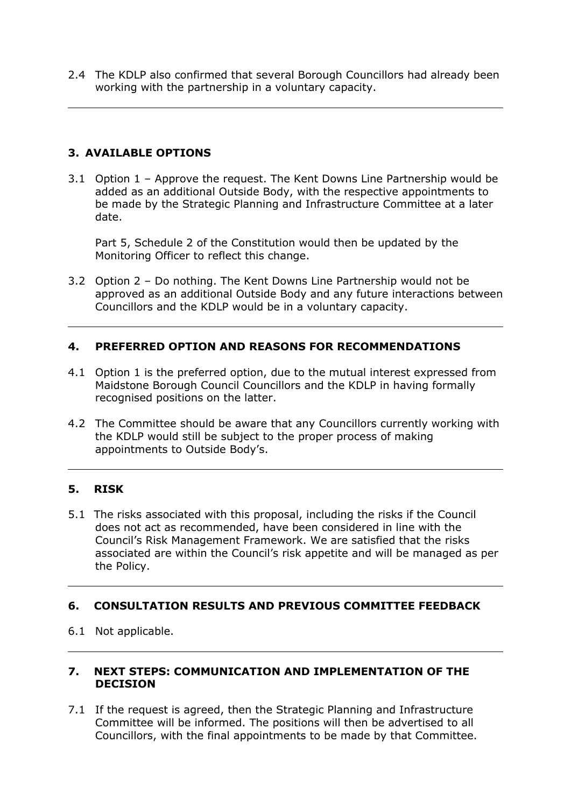2.4 The KDLP also confirmed that several Borough Councillors had already been working with the partnership in a voluntary capacity.

#### **3. AVAILABLE OPTIONS**

3.1 Option 1 – Approve the request. The Kent Downs Line Partnership would be added as an additional Outside Body, with the respective appointments to be made by the Strategic Planning and Infrastructure Committee at a later date.

Part 5, Schedule 2 of the Constitution would then be updated by the Monitoring Officer to reflect this change.

3.2 Option 2 – Do nothing. The Kent Downs Line Partnership would not be approved as an additional Outside Body and any future interactions between Councillors and the KDLP would be in a voluntary capacity.

#### **4. PREFERRED OPTION AND REASONS FOR RECOMMENDATIONS**

- 4.1 Option 1 is the preferred option, due to the mutual interest expressed from Maidstone Borough Council Councillors and the KDLP in having formally recognised positions on the latter.
- 4.2 The Committee should be aware that any Councillors currently working with the KDLP would still be subject to the proper process of making appointments to Outside Body's.

#### **5. RISK**

5.1 The risks associated with this proposal, including the risks if the Council does not act as recommended, have been considered in line with the Council's Risk Management Framework. We are satisfied that the risks associated are within the Council's risk appetite and will be managed as per the Policy.

#### **6. CONSULTATION RESULTS AND PREVIOUS COMMITTEE FEEDBACK**

6.1 Not applicable.

#### **7. NEXT STEPS: COMMUNICATION AND IMPLEMENTATION OF THE DECISION**

7.1 If the request is agreed, then the Strategic Planning and Infrastructure Committee will be informed. The positions will then be advertised to all Councillors, with the final appointments to be made by that Committee.